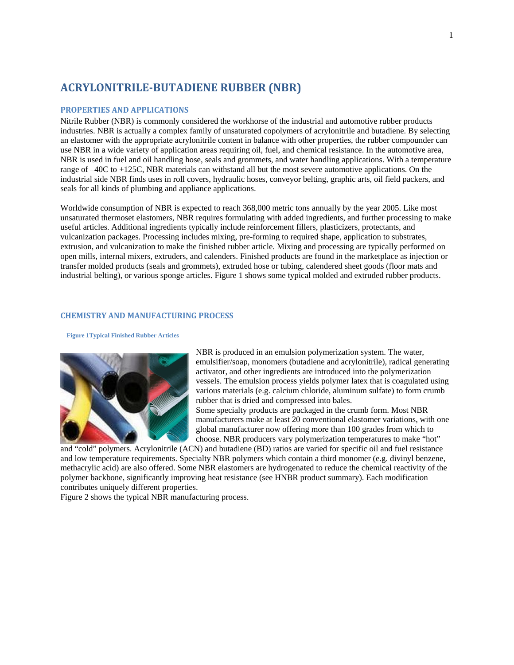# **ACRYLONITRILE‐BUTADIENE RUBBER (NBR)**

### **PROPERTIES AND APPLICATIONS**

Nitrile Rubber (NBR) is commonly considered the workhorse of the industrial and automotive rubber products industries. NBR is actually a complex family of unsaturated copolymers of acrylonitrile and butadiene. By selecting an elastomer with the appropriate acrylonitrile content in balance with other properties, the rubber compounder can use NBR in a wide variety of application areas requiring oil, fuel, and chemical resistance. In the automotive area, NBR is used in fuel and oil handling hose, seals and grommets, and water handling applications. With a temperature range of –40C to +125C, NBR materials can withstand all but the most severe automotive applications. On the industrial side NBR finds uses in roll covers, hydraulic hoses, conveyor belting, graphic arts, oil field packers, and seals for all kinds of plumbing and appliance applications.

Worldwide consumption of NBR is expected to reach 368,000 metric tons annually by the year 2005. Like most unsaturated thermoset elastomers, NBR requires formulating with added ingredients, and further processing to make useful articles. Additional ingredients typically include reinforcement fillers, plasticizers, protectants, and vulcanization packages. Processing includes mixing, pre-forming to required shape, application to substrates, extrusion, and vulcanization to make the finished rubber article. Mixing and processing are typically performed on open mills, internal mixers, extruders, and calenders. Finished products are found in the marketplace as injection or transfer molded products (seals and grommets), extruded hose or tubing, calendered sheet goods (floor mats and industrial belting), or various sponge articles. Figure 1 shows some typical molded and extruded rubber products.

#### **CHEMISTRY AND MANUFACTURING PROCESS**

#### **Figure 1Typical Finished Rubber Articles**



NBR is produced in an emulsion polymerization system. The water, emulsifier/soap, monomers (butadiene and acrylonitrile), radical generating activator, and other ingredients are introduced into the polymerization vessels. The emulsion process yields polymer latex that is coagulated using various materials (e.g. calcium chloride, aluminum sulfate) to form crumb rubber that is dried and compressed into bales.

Some specialty products are packaged in the crumb form. Most NBR manufacturers make at least 20 conventional elastomer variations, with one global manufacturer now offering more than 100 grades from which to choose. NBR producers vary polymerization temperatures to make "hot"

and "cold" polymers. Acrylonitrile (ACN) and butadiene (BD) ratios are varied for specific oil and fuel resistance and low temperature requirements. Specialty NBR polymers which contain a third monomer (e.g. divinyl benzene, methacrylic acid) are also offered. Some NBR elastomers are hydrogenated to reduce the chemical reactivity of the polymer backbone, significantly improving heat resistance (see HNBR product summary). Each modification contributes uniquely different properties.

Figure 2 shows the typical NBR manufacturing process.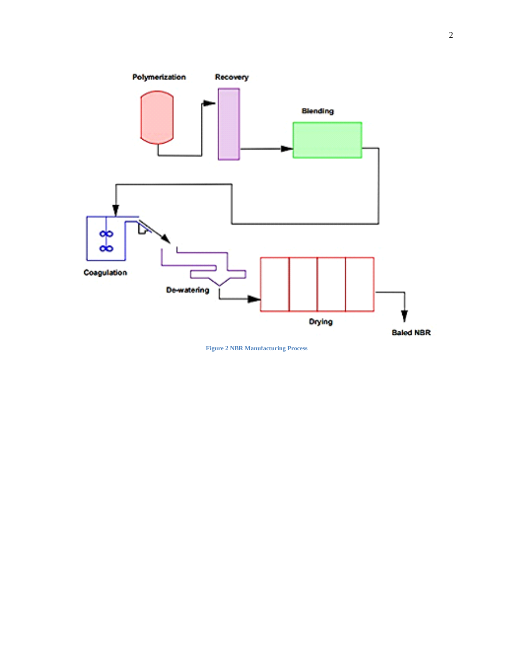

**Figure 2 NBR Manufacturing Process**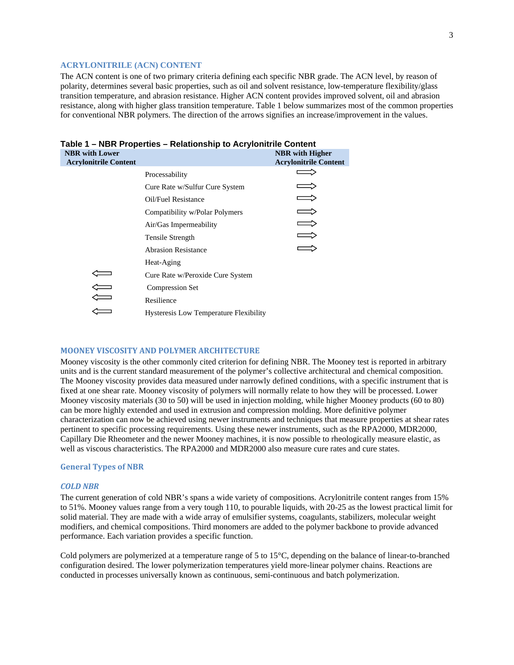### **ACRYLONITRILE (ACN) CONTENT**

The ACN content is one of two primary criteria defining each specific NBR grade. The ACN level, by reason of polarity, determines several basic properties, such as oil and solvent resistance, low-temperature flexibility/glass transition temperature, and abrasion resistance. Higher ACN content provides improved solvent, oil and abrasion resistance, along with higher glass transition temperature. Table 1 below summarizes most of the common properties for conventional NBR polymers. The direction of the arrows signifies an increase/improvement in the values.

| <b>NBR</b> with Lower<br><b>Acrylonitrile Content</b> |                                        | <b>NBR</b> with Higher<br><b>Acrylonitrile Content</b> |
|-------------------------------------------------------|----------------------------------------|--------------------------------------------------------|
|                                                       | Processability                         |                                                        |
|                                                       | Cure Rate w/Sulfur Cure System         |                                                        |
|                                                       | Oil/Fuel Resistance                    |                                                        |
|                                                       | Compatibility w/Polar Polymers         |                                                        |
|                                                       | Air/Gas Impermeability                 |                                                        |
|                                                       | Tensile Strength                       |                                                        |
|                                                       | <b>Abrasion Resistance</b>             |                                                        |
|                                                       | Heat-Aging                             |                                                        |
|                                                       | Cure Rate w/Peroxide Cure System       |                                                        |
|                                                       | <b>Compression Set</b>                 |                                                        |
|                                                       | Resilience                             |                                                        |
|                                                       | Hysteresis Low Temperature Flexibility |                                                        |

## **Table 1 – NBR Properties – Relationship to Acrylonitrile Content**

#### **MOONEY VISCOSITY AND POLYMER ARCHITECTURE**

Mooney viscosity is the other commonly cited criterion for defining NBR. The Mooney test is reported in arbitrary units and is the current standard measurement of the polymer's collective architectural and chemical composition. The Mooney viscosity provides data measured under narrowly defined conditions, with a specific instrument that is fixed at one shear rate. Mooney viscosity of polymers will normally relate to how they will be processed. Lower Mooney viscosity materials (30 to 50) will be used in injection molding, while higher Mooney products (60 to 80) can be more highly extended and used in extrusion and compression molding. More definitive polymer characterization can now be achieved using newer instruments and techniques that measure properties at shear rates pertinent to specific processing requirements. Using these newer instruments, such as the RPA2000, MDR2000, Capillary Die Rheometer and the newer Mooney machines, it is now possible to rheologically measure elastic, as well as viscous characteristics. The RPA2000 and MDR2000 also measure cure rates and cure states.

#### **General Types of NBR**

#### *COLD NBR*

The current generation of cold NBR's spans a wide variety of compositions. Acrylonitrile content ranges from 15% to 51%. Mooney values range from a very tough 110, to pourable liquids, with 20-25 as the lowest practical limit for solid material. They are made with a wide array of emulsifier systems, coagulants, stabilizers, molecular weight modifiers, and chemical compositions. Third monomers are added to the polymer backbone to provide advanced performance. Each variation provides a specific function.

Cold polymers are polymerized at a temperature range of 5 to 15°C, depending on the balance of linear-to-branched configuration desired. The lower polymerization temperatures yield more-linear polymer chains. Reactions are conducted in processes universally known as continuous, semi-continuous and batch polymerization.